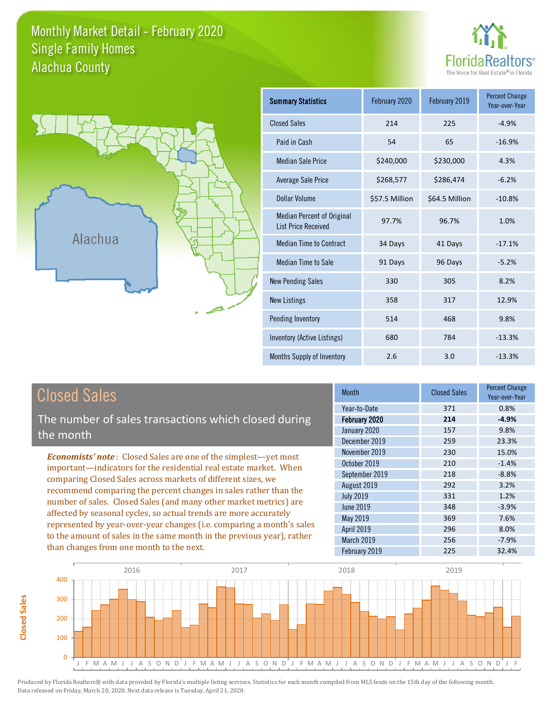#### Monthly Market Detail - February 2020 Alachua County Single Family Homes





**Closed Sales**

**Closed Sales** 

| <b>Summary Statistics</b>                                       | February 2020  | February 2019  | <b>Percent Change</b><br>Year-over-Year |
|-----------------------------------------------------------------|----------------|----------------|-----------------------------------------|
| <b>Closed Sales</b>                                             | 214            | 225            | $-4.9%$                                 |
| Paid in Cash                                                    | 54             | 65             | $-16.9%$                                |
| <b>Median Sale Price</b>                                        | \$240,000      | \$230,000      | 4.3%                                    |
| <b>Average Sale Price</b>                                       | \$268,577      | \$286,474      | $-6.2%$                                 |
| Dollar Volume                                                   | \$57.5 Million | \$64.5 Million | $-10.8%$                                |
| <b>Median Percent of Original</b><br><b>List Price Received</b> | 97.7%          | 96.7%          | 1.0%                                    |
| <b>Median Time to Contract</b>                                  | 34 Days        | 41 Days        | $-17.1%$                                |
| <b>Median Time to Sale</b>                                      | 91 Days        | 96 Days        | $-5.2%$                                 |
| <b>New Pending Sales</b>                                        | 330            | 305            | 8.2%                                    |
| <b>New Listings</b>                                             | 358            | 317            | 12.9%                                   |
| Pending Inventory                                               | 514            | 468            | 9.8%                                    |
| Inventory (Active Listings)                                     | 680            | 784            | $-13.3%$                                |
| Months Supply of Inventory                                      | 2.6            | 3.0            | $-13.3%$                                |

| <b>Closed Sales</b>                                                                                                                                                                                         | <b>Month</b>      | <b>Closed Sales</b> | <b>Percent Change</b><br>Year-over-Year |
|-------------------------------------------------------------------------------------------------------------------------------------------------------------------------------------------------------------|-------------------|---------------------|-----------------------------------------|
|                                                                                                                                                                                                             | Year-to-Date      | 371                 | 0.8%                                    |
| The number of sales transactions which closed during                                                                                                                                                        | February 2020     | 214                 | $-4.9%$                                 |
| the month                                                                                                                                                                                                   | January 2020      | 157                 | 9.8%                                    |
|                                                                                                                                                                                                             | December 2019     | 259                 | 23.3%                                   |
| <b>Economists' note:</b> Closed Sales are one of the simplest-yet most<br>important-indicators for the residential real estate market. When<br>comparing Closed Sales across markets of different sizes, we | November 2019     | 230                 | 15.0%                                   |
|                                                                                                                                                                                                             | October 2019      | 210                 | $-1.4%$                                 |
|                                                                                                                                                                                                             | September 2019    | 218                 | $-8.8%$                                 |
| recommend comparing the percent changes in sales rather than the                                                                                                                                            | August 2019       | 292                 | 3.2%                                    |
| number of sales. Closed Sales (and many other market metrics) are                                                                                                                                           | <b>July 2019</b>  | 331                 | 1.2%                                    |
| affected by seasonal cycles, so actual trends are more accurately                                                                                                                                           | June 2019         | 348                 | $-3.9%$                                 |
|                                                                                                                                                                                                             | May 2019          | 369                 | 7.6%                                    |
| represented by year-over-year changes (i.e. comparing a month's sales                                                                                                                                       | <b>April 2019</b> | 296                 | 8.0%                                    |
| to the amount of sales in the same month in the previous year), rather                                                                                                                                      | March 2019        | 256                 | $-7.9%$                                 |
| than changes from one month to the next.                                                                                                                                                                    | February 2019     | 225                 | 32.4%                                   |

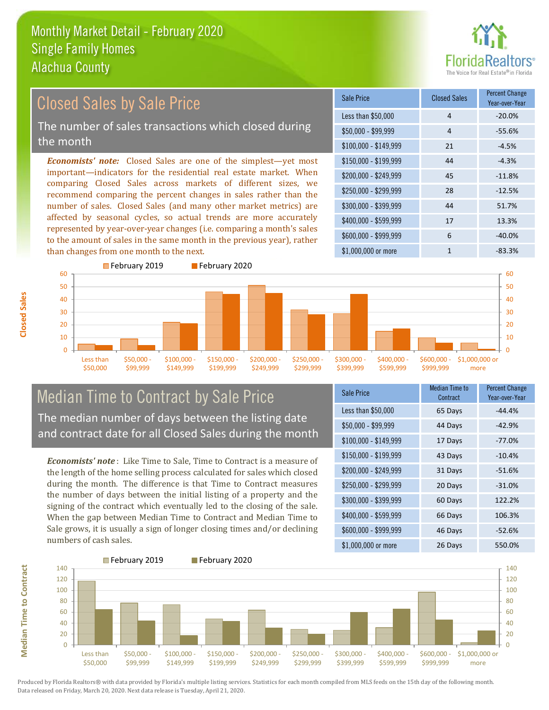

#### $$100,000 - $149,999$  21  $-4.5\%$ Sale Price Closed Sales Percent Change Year-over-Year Less than \$50,000  $\overline{a}$  and  $\overline{a}$  4  $\overline{a}$  -20.0%  $$50.000 - $99.999$  4 -55.6%  $$150.000 - $199.999$  44 -4.3% \$200,000 - \$249,999 45 -11.8% \$400,000 - \$599,999 17 13.3% \$600,000 - \$999,999 6 -40.0% *Economists' note:* Closed Sales are one of the simplest—yet most important—indicators for the residential real estate market. When comparing Closed Sales across markets of different sizes, we recommend comparing the percent changes in sales rather than the number of sales. Closed Sales (and many other market metrics) are affected by seasonal cycles, so actual trends are more accurately represented by year-over-year changes (i.e. comparing a month's sales to the amount of sales in the same month in the previous year), rather than changes from one month to the next. \$1,000,000 or more 1 -83.3%  $$250,000 - $299,999$  28 -12.5% \$300,000 - \$399,999 44 51.7% Closed Sales by Sale Price The number of sales transactions which closed during the month



### Median Time to Contract by Sale Price The median number of days between the listing date and contract date for all Closed Sales during the month

*Economists' note* : Like Time to Sale, Time to Contract is a measure of the length of the home selling process calculated for sales which closed during the month. The difference is that Time to Contract measures the number of days between the initial listing of a property and the signing of the contract which eventually led to the closing of the sale. When the gap between Median Time to Contract and Median Time to Sale grows, it is usually a sign of longer closing times and/or declining numbers of cash sales.

| Sale Price            | Median Time to<br>Contract | <b>Percent Change</b><br>Year-over-Year |
|-----------------------|----------------------------|-----------------------------------------|
| Less than \$50,000    | 65 Days                    | $-44.4%$                                |
| \$50,000 - \$99,999   | 44 Days                    | $-42.9%$                                |
| $$100,000 - $149,999$ | 17 Days                    | $-77.0%$                                |
| $$150,000 - $199,999$ | 43 Days                    | $-10.4%$                                |
| \$200,000 - \$249,999 | 31 Days                    | $-51.6%$                                |
| \$250,000 - \$299,999 | 20 Days                    | $-31.0%$                                |
| \$300,000 - \$399,999 | 60 Days                    | 122.2%                                  |
| \$400,000 - \$599,999 | 66 Days                    | 106.3%                                  |
| \$600,000 - \$999,999 | 46 Days                    | $-52.6%$                                |
| \$1,000,000 or more   | 26 Days                    | 550.0%                                  |



**Closed Sales**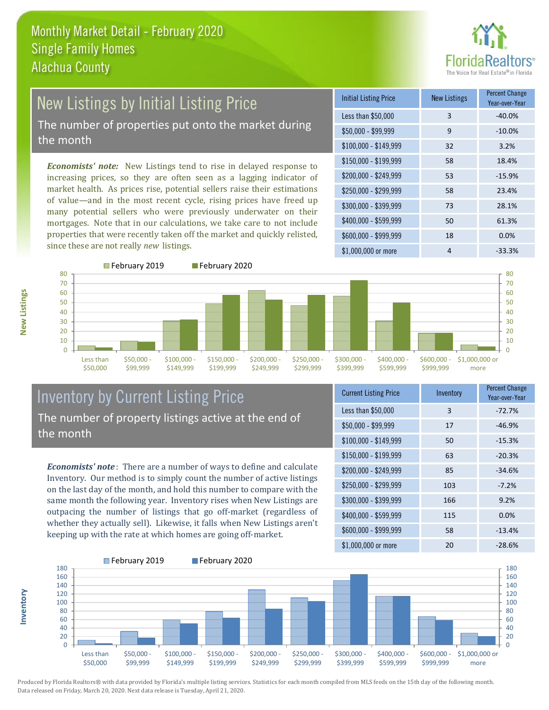

#### New Listings by Initial Listing Price The number of properties put onto the market during the month

*Economists' note:* New Listings tend to rise in delayed response to increasing prices, so they are often seen as a lagging indicator of market health. As prices rise, potential sellers raise their estimations of value—and in the most recent cycle, rising prices have freed up many potential sellers who were previously underwater on their mortgages. Note that in our calculations, we take care to not include properties that were recently taken off the market and quickly relisted, since these are not really *new* listings.

| <b>Initial Listing Price</b> | <b>New Listings</b> | <b>Percent Change</b><br>Year-over-Year |
|------------------------------|---------------------|-----------------------------------------|
| Less than \$50,000           | 3                   | $-40.0%$                                |
| $$50,000 - $99,999$          | 9                   | $-10.0%$                                |
| $$100,000 - $149,999$        | 32                  | 3.2%                                    |
| $$150,000 - $199,999$        | 58                  | 18.4%                                   |
| \$200,000 - \$249,999        | 53                  | $-15.9%$                                |
| $$250,000 - $299,999$        | 58                  | 23.4%                                   |
| \$300,000 - \$399,999        | 73                  | 28.1%                                   |
| \$400,000 - \$599,999        | 50                  | 61.3%                                   |
| \$600,000 - \$999,999        | 18                  | 0.0%                                    |
| \$1,000,000 or more          | 4                   | $-33.3%$                                |



#### Inventory by Current Listing Price The number of property listings active at the end of the month

*Economists' note* : There are a number of ways to define and calculate Inventory. Our method is to simply count the number of active listings on the last day of the month, and hold this number to compare with the same month the following year. Inventory rises when New Listings are outpacing the number of listings that go off-market (regardless of whether they actually sell). Likewise, it falls when New Listings aren't keeping up with the rate at which homes are going off-market.

| <b>Current Listing Price</b> | Inventory | <b>Percent Change</b><br>Year-over-Year |
|------------------------------|-----------|-----------------------------------------|
| Less than \$50,000           | 3         | $-72.7%$                                |
| $$50,000 - $99,999$          | 17        | $-46.9%$                                |
| $$100,000 - $149,999$        | 50        | $-15.3%$                                |
| $$150,000 - $199,999$        | 63        | $-20.3%$                                |
| \$200,000 - \$249,999        | 85        | $-34.6%$                                |
| \$250,000 - \$299,999        | 103       | $-7.2%$                                 |
| \$300,000 - \$399,999        | 166       | 9.2%                                    |
| \$400,000 - \$599,999        | 115       | 0.0%                                    |
| \$600,000 - \$999,999        | 58        | $-13.4%$                                |
| \$1,000,000 or more          | 20        | $-28.6%$                                |



Produced by Florida Realtors® with data provided by Florida's multiple listing services. Statistics for each month compiled from MLS feeds on the 15th day of the following month. Data released on Friday, March 20, 2020. Next data release is Tuesday, April 21, 2020.

**Inventory**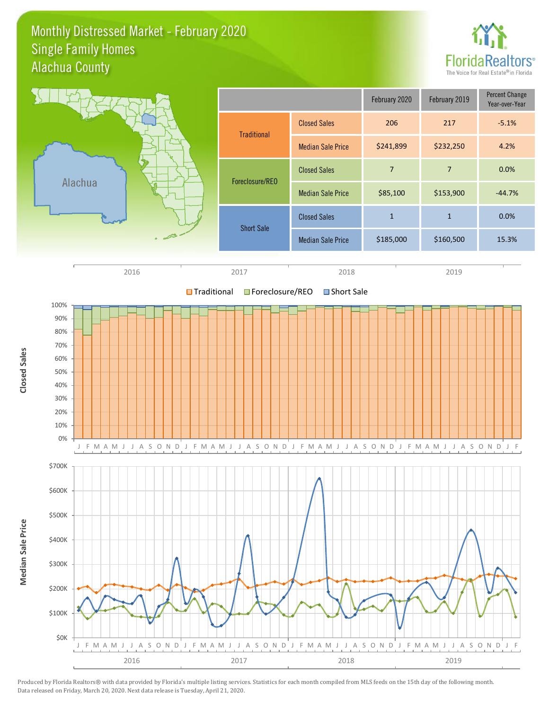#### Monthly Distressed Market - February 2020 Alachua County Single Family Homes



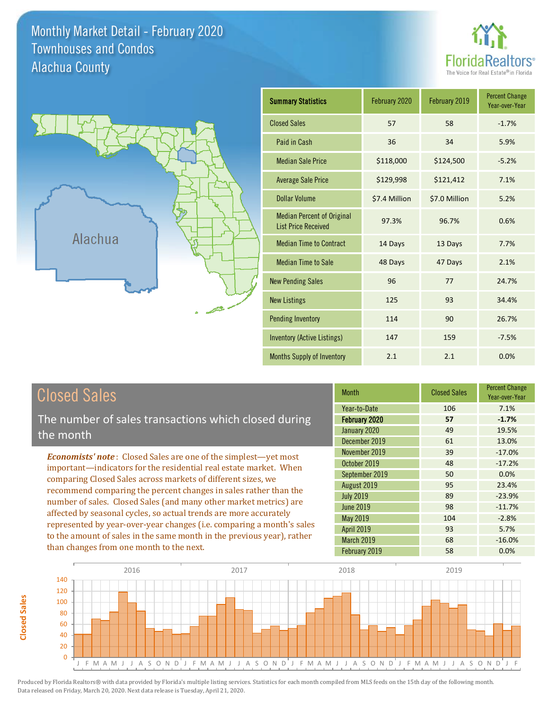Monthly Market Detail - February 2020 Alachua County Townhouses and Condos



13.0% -17.0%

ercent Change ear-over-Yea

> -17.2% 0.0%

-2.8% 5.7% -16.0%

-23.9% -11.7%



to the amount of sales in the same month in the previous year), rather

than changes from one month to the next.

**Closed Sales**

**Closed Sales** 

| <b>Summary Statistics</b>                                       | February 2020 | February 2019 | <b>Percent Change</b><br>Year-over-Year |
|-----------------------------------------------------------------|---------------|---------------|-----------------------------------------|
| <b>Closed Sales</b>                                             | 57            | 58            | $-1.7%$                                 |
| Paid in Cash                                                    | 36            | 34            | 5.9%                                    |
| <b>Median Sale Price</b>                                        | \$118,000     | \$124,500     | $-5.2%$                                 |
| <b>Average Sale Price</b>                                       | \$129,998     | \$121,412     | 7.1%                                    |
| Dollar Volume                                                   | \$7.4 Million | \$7.0 Million | 5.2%                                    |
| <b>Median Percent of Original</b><br><b>List Price Received</b> | 97.3%         | 96.7%         | 0.6%                                    |
| <b>Median Time to Contract</b>                                  | 14 Days       | 13 Days       | 7.7%                                    |
| <b>Median Time to Sale</b>                                      | 48 Days       | 47 Days       | 2.1%                                    |
| <b>New Pending Sales</b>                                        | 96            | 77            | 24.7%                                   |
| <b>New Listings</b>                                             | 125           | 93            | 34.4%                                   |
| <b>Pending Inventory</b>                                        | 114           | 90            | 26.7%                                   |
| Inventory (Active Listings)                                     | 147           | 159           | $-7.5%$                                 |
| <b>Months Supply of Inventory</b>                               | 2.1           | 2.1           | 0.0%                                    |

March 2019 68

| <b>Closed Sales</b>                                                                                                                                                                                                                                                        | <b>Month</b>                         | <b>Closed Sales</b> | <b>Percent Cha</b><br>Year-over-Y |
|----------------------------------------------------------------------------------------------------------------------------------------------------------------------------------------------------------------------------------------------------------------------------|--------------------------------------|---------------------|-----------------------------------|
| The number of sales transactions which closed during                                                                                                                                                                                                                       | Year-to-Date                         | 106                 | 7.1%                              |
|                                                                                                                                                                                                                                                                            | February 2020                        | 57                  | $-1.7%$                           |
| the month                                                                                                                                                                                                                                                                  | January 2020                         | 49                  | 19.5%                             |
|                                                                                                                                                                                                                                                                            | December 2019                        | 61                  | 13.0%                             |
| <b>Economists' note:</b> Closed Sales are one of the simplest-yet most                                                                                                                                                                                                     | November 2019                        | 39                  | $-17.0%$                          |
|                                                                                                                                                                                                                                                                            | October 2019                         | 48                  | $-17.2%$                          |
| important—indicators for the residential real estate market. When<br>comparing Closed Sales across markets of different sizes, we<br>recommend comparing the percent changes in sales rather than the<br>number of sales. Closed Sales (and many other market metrics) are | September 2019<br>August 2019        | 50<br>95            | 0.0%<br>23.4%                     |
|                                                                                                                                                                                                                                                                            | <b>July 2019</b><br><b>June 2019</b> | 89<br>98            | $-23.9%$<br>$-11.7%$              |
| affected by seasonal cycles, so actual trends are more accurately                                                                                                                                                                                                          | May 2019                             | 104                 | $-2.8%$                           |
| represented by year-over-year changes (i.e. comparing a month's sales                                                                                                                                                                                                      | <b>April 2019</b>                    | 93                  | 5.7%                              |

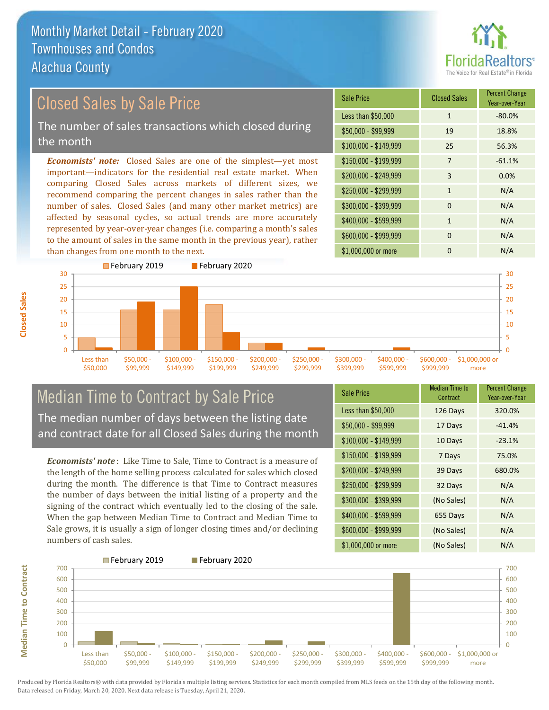than changes from one month to the next.



#### \$100,000 - \$149,999 25 56.3% Sale Price Closed Sales Percent Change Year-over-Year Less than \$50,000 1 1 -80.0% \$50,000 - \$99,999 19 18.8% \$150,000 - \$199,999 7 -61.1% \$200,000 - \$249,999 3 0.0%  $$400,000 - $599,999$  1 N/A \$600,000 - \$999,999 0 0 N/A *Economists' note:* Closed Sales are one of the simplest—yet most important—indicators for the residential real estate market. When comparing Closed Sales across markets of different sizes, we recommend comparing the percent changes in sales rather than the number of sales. Closed Sales (and many other market metrics) are affected by seasonal cycles, so actual trends are more accurately represented by year-over-year changes (i.e. comparing a month's sales to the amount of sales in the same month in the previous year), rather \$250,000 - \$299,999 1 1 N/A \$300,000 - \$399,999 0 0 N/A Closed Sales by Sale Price The number of sales transactions which closed during the month



### Median Time to Contract by Sale Price The median number of days between the listing date and contract date for all Closed Sales during the month

*Economists' note* : Like Time to Sale, Time to Contract is a measure of the length of the home selling process calculated for sales which closed during the month. The difference is that Time to Contract measures the number of days between the initial listing of a property and the signing of the contract which eventually led to the closing of the sale. When the gap between Median Time to Contract and Median Time to Sale grows, it is usually a sign of longer closing times and/or declining numbers of cash sales.

| <b>Sale Price</b>     | Median Time to<br>Contract | <b>Percent Change</b><br>Year-over-Year |
|-----------------------|----------------------------|-----------------------------------------|
| Less than \$50,000    | 126 Days                   | 320.0%                                  |
| $$50,000 - $99,999$   | 17 Days                    | $-41.4%$                                |
| $$100,000 - $149,999$ | 10 Days                    | $-23.1%$                                |
| $$150,000 - $199,999$ | 7 Days                     | 75.0%                                   |
| \$200,000 - \$249,999 | 39 Days                    | 680.0%                                  |
| \$250,000 - \$299,999 | 32 Days                    | N/A                                     |
| \$300,000 - \$399,999 | (No Sales)                 | N/A                                     |
| \$400,000 - \$599,999 | 655 Days                   | N/A                                     |
| \$600,000 - \$999,999 | (No Sales)                 | N/A                                     |
| \$1,000,000 or more   | (No Sales)                 | N/A                                     |

\$1,000,000 or more 0 0 N/A



Produced by Florida Realtors® with data provided by Florida's multiple listing services. Statistics for each month compiled from MLS feeds on the 15th day of the following month. Data released on Friday, March 20, 2020. Next data release is Tuesday, April 21, 2020.

**Median Time to Contract**

**Median Time to Contract**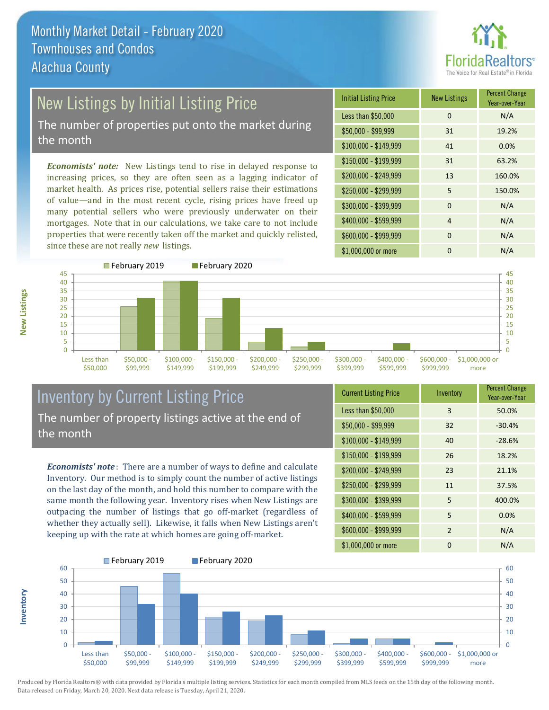

## New Listings by Initial Listing Price

The number of properties put onto the market during the month

*Economists' note:* New Listings tend to rise in delayed response to increasing prices, so they are often seen as a lagging indicator of market health. As prices rise, potential sellers raise their estimations of value—and in the most recent cycle, rising prices have freed up many potential sellers who were previously underwater on their mortgages. Note that in our calculations, we take care to not include properties that were recently taken off the market and quickly relisted, since these are not really *new* listings.

| <b>Initial Listing Price</b> | <b>New Listings</b> | <b>Percent Change</b><br>Year-over-Year |
|------------------------------|---------------------|-----------------------------------------|
| Less than \$50,000           | 0                   | N/A                                     |
| $$50,000 - $99,999$          | 31                  | 19.2%                                   |
| $$100,000 - $149,999$        | 41                  | 0.0%                                    |
| $$150,000 - $199,999$        | 31                  | 63.2%                                   |
| \$200,000 - \$249,999        | 13                  | 160.0%                                  |
| \$250,000 - \$299,999        | 5                   | 150.0%                                  |
| \$300,000 - \$399,999        | $\Omega$            | N/A                                     |
| \$400,000 - \$599,999        | 4                   | N/A                                     |
| \$600,000 - \$999,999        | $\Omega$            | N/A                                     |
| \$1,000,000 or more          | n                   | N/A                                     |



### Inventory by Current Listing Price The number of property listings active at the end of the month

*Economists' note* : There are a number of ways to define and calculate Inventory. Our method is to simply count the number of active listings on the last day of the month, and hold this number to compare with the same month the following year. Inventory rises when New Listings are outpacing the number of listings that go off-market (regardless of whether they actually sell). Likewise, it falls when New Listings aren't keeping up with the rate at which homes are going off-market.

| <b>Current Listing Price</b> | Inventory      | <b>Percent Change</b><br>Year-over-Year |
|------------------------------|----------------|-----------------------------------------|
| Less than \$50,000           | 3              | 50.0%                                   |
| $$50,000 - $99,999$          | 32             | $-30.4%$                                |
| $$100,000 - $149,999$        | 40             | $-28.6%$                                |
| $$150,000 - $199,999$        | 26             | 18.2%                                   |
| \$200,000 - \$249,999        | 23             | 21.1%                                   |
| \$250,000 - \$299,999        | 11             | 37.5%                                   |
| \$300,000 - \$399,999        | 5              | 400.0%                                  |
| \$400,000 - \$599,999        | 5              | 0.0%                                    |
| \$600,000 - \$999,999        | $\overline{2}$ | N/A                                     |
| \$1,000,000 or more          | 0              | N/A                                     |



Produced by Florida Realtors® with data provided by Florida's multiple listing services. Statistics for each month compiled from MLS feeds on the 15th day of the following month. Data released on Friday, March 20, 2020. Next data release is Tuesday, April 21, 2020.

**Inventory**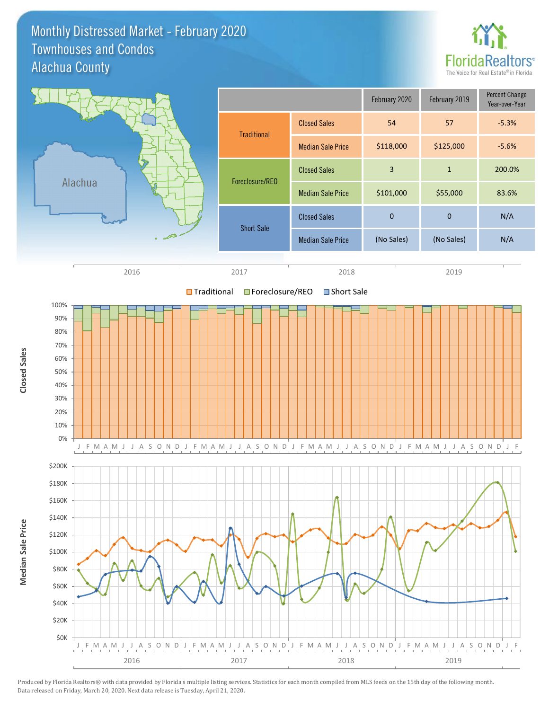#### Monthly Distressed Market - February 2020 Alachua County Townhouses and Condos



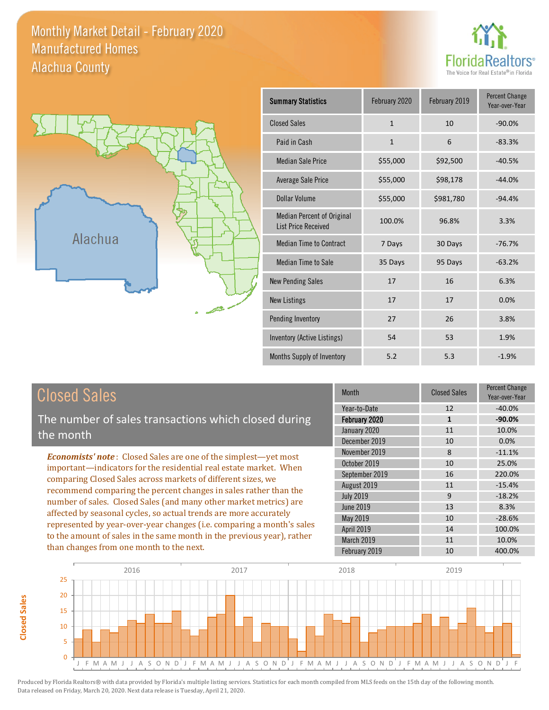#### Monthly Market Detail - February 2020 Alachua County Manufactured Homes





**Closed Sales**

**Closed Sales** 

| <b>Summary Statistics</b>                                       | February 2020 | February 2019 | <b>Percent Change</b><br>Year-over-Year |
|-----------------------------------------------------------------|---------------|---------------|-----------------------------------------|
| <b>Closed Sales</b>                                             | $\mathbf{1}$  | 10            | $-90.0%$                                |
| Paid in Cash                                                    | $\mathbf{1}$  | 6             | $-83.3%$                                |
| <b>Median Sale Price</b>                                        | \$55,000      | \$92,500      | $-40.5%$                                |
| Average Sale Price                                              | \$55,000      | \$98,178      | $-44.0%$                                |
| Dollar Volume                                                   | \$55,000      | \$981,780     | $-94.4%$                                |
| <b>Median Percent of Original</b><br><b>List Price Received</b> | 100.0%        | 96.8%         | 3.3%                                    |
| <b>Median Time to Contract</b>                                  | 7 Days        | 30 Days       | $-76.7%$                                |
| Median Time to Sale                                             | 35 Days       | 95 Days       | $-63.2%$                                |
| <b>New Pending Sales</b>                                        | 17            | 16            | 6.3%                                    |
| <b>New Listings</b>                                             | 17            | 17            | 0.0%                                    |
| Pending Inventory                                               | 27            | 26            | 3.8%                                    |
| Inventory (Active Listings)                                     | 54            | 53            | 1.9%                                    |
| Months Supply of Inventory                                      | 5.2           | 5.3           | $-1.9%$                                 |

| <b>Closed Sales</b>                                                                                                                                                                                   | <b>Month</b>                                  | <b>Closed Sales</b> | <b>Percent Change</b><br>Year-over-Year |
|-------------------------------------------------------------------------------------------------------------------------------------------------------------------------------------------------------|-----------------------------------------------|---------------------|-----------------------------------------|
| The number of sales transactions which closed during                                                                                                                                                  | Year-to-Date<br>February 2020<br>January 2020 | 12<br>1<br>11       | $-40.0%$<br>$-90.0%$<br>10.0%           |
| the month                                                                                                                                                                                             | December 2019                                 | 10                  | $0.0\%$                                 |
| <b>Economists' note:</b> Closed Sales are one of the simplest-yet most                                                                                                                                | November 2019                                 | 8                   | $-11.1%$                                |
| important—indicators for the residential real estate market. When<br>comparing Closed Sales across markets of different sizes, we<br>recommend comparing the percent changes in sales rather than the | October 2019                                  | 10                  | 25.0%                                   |
|                                                                                                                                                                                                       | September 2019                                | 16                  | 220.0%                                  |
|                                                                                                                                                                                                       | August 2019                                   | 11                  | $-15.4%$                                |
|                                                                                                                                                                                                       | <b>July 2019</b>                              | 9                   | $-18.2%$                                |
| number of sales. Closed Sales (and many other market metrics) are                                                                                                                                     | June 2019                                     | 13                  | 8.3%                                    |
| affected by seasonal cycles, so actual trends are more accurately                                                                                                                                     | May 2019                                      | 10                  | $-28.6%$                                |
| represented by year-over-year changes (i.e. comparing a month's sales<br>to the amount of sales in the same month in the previous year), rather                                                       | April 2019                                    | 14                  | 100.0%                                  |
|                                                                                                                                                                                                       | <b>March 2019</b>                             | 11                  | 10.0%                                   |
| than changes from one month to the next.                                                                                                                                                              | February 2019                                 | 10                  | 400.0%                                  |

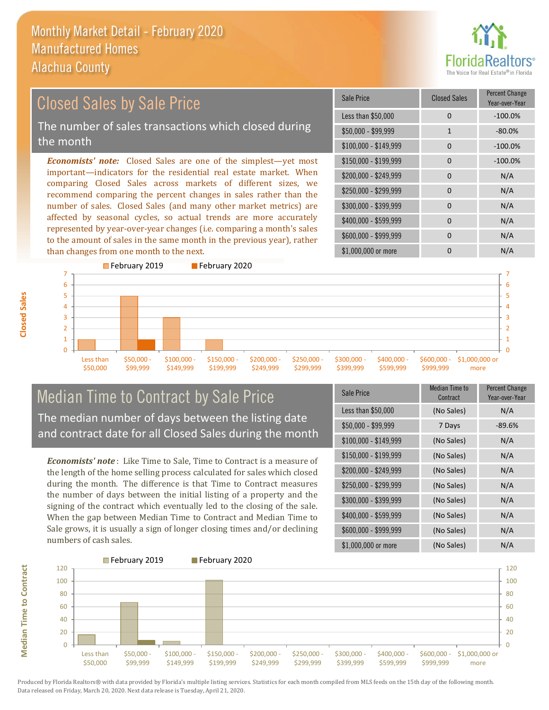than changes from one month to the next.



#### \$100,000 - \$149,999 0 -100.0% Sale Price Closed Sales Percent Change Year-over-Year Less than \$50,000 0 0 -100.0%  $$50.000 - $99.999$  1 -80.0% \$150,000 - \$199,999 0 -100.0% \$200,000 - \$249,999 0 0 N/A  $$400,000 - $599,999$  0 N/A \$600,000 - \$999,999 0 0 N/A *Economists' note:* Closed Sales are one of the simplest—yet most important—indicators for the residential real estate market. When comparing Closed Sales across markets of different sizes, we recommend comparing the percent changes in sales rather than the number of sales. Closed Sales (and many other market metrics) are affected by seasonal cycles, so actual trends are more accurately represented by year-over-year changes (i.e. comparing a month's sales to the amount of sales in the same month in the previous year), rather \$250,000 - \$299,999 0 0 N/A \$300,000 - \$399,999 0 0 N/A Closed Sales by Sale Price The number of sales transactions which closed during the month



# Median Time to Contract by Sale Price and contract date for all Closed Sales during the month

*Economists' note* : Like Time to Sale, Time to Contract is a measure of the length of the home selling process calculated for sales which closed during the month. The difference is that Time to Contract measures the number of days between the initial listing of a property and the signing of the contract which eventually led to the closing of the sale. When the gap between Median Time to Contract and Median Time to Sale grows, it is usually a sign of longer closing times and/or declining numbers of cash sales.

| Sale Price            | Median Time to<br>Contract | <b>Percent Change</b><br>Year-over-Year |
|-----------------------|----------------------------|-----------------------------------------|
| Less than \$50,000    | (No Sales)                 | N/A                                     |
| $$50,000 - $99,999$   | 7 Days                     | $-89.6%$                                |
| $$100,000 - $149,999$ | (No Sales)                 | N/A                                     |
| $$150,000 - $199,999$ | (No Sales)                 | N/A                                     |
| \$200,000 - \$249,999 | (No Sales)                 | N/A                                     |
| \$250,000 - \$299,999 | (No Sales)                 | N/A                                     |
| \$300,000 - \$399,999 | (No Sales)                 | N/A                                     |
| \$400,000 - \$599,999 | (No Sales)                 | N/A                                     |
| \$600,000 - \$999,999 | (No Sales)                 | N/A                                     |
| \$1,000,000 or more   | (No Sales)                 | N/A                                     |

\$1,000,000 or more 0 0 N/A



**Median Time to Contract**

**Median Time to Contract** 

The median number of days between the listing date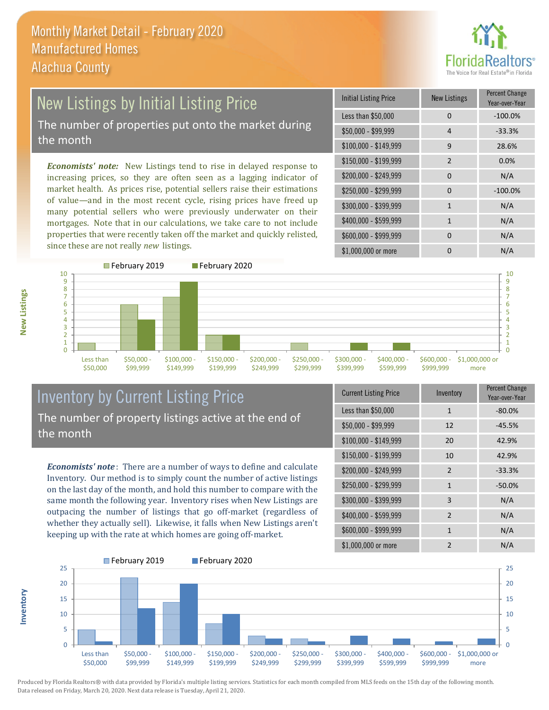

### New Listings by Initial Listing Price The number of properties put onto the market during the month

*Economists' note:* New Listings tend to rise in delayed response to increasing prices, so they are often seen as a lagging indicator of market health. As prices rise, potential sellers raise their estimations of value—and in the most recent cycle, rising prices have freed up many potential sellers who were previously underwater on their mortgages. Note that in our calculations, we take care to not include properties that were recently taken off the market and quickly relisted, since these are not really *new* listings.

| <b>Initial Listing Price</b> | <b>New Listings</b> | <b>Percent Change</b><br>Year-over-Year |
|------------------------------|---------------------|-----------------------------------------|
| Less than \$50,000           | 0                   | $-100.0%$                               |
| $$50,000 - $99,999$          | 4                   | $-33.3%$                                |
| $$100,000 - $149,999$        | 9                   | 28.6%                                   |
| \$150,000 - \$199,999        | $\mathfrak{p}$      | 0.0%                                    |
| \$200,000 - \$249,999        | 0                   | N/A                                     |
| \$250,000 - \$299,999        | 0                   | $-100.0%$                               |
| \$300,000 - \$399,999        | $\mathbf{1}$        | N/A                                     |
| \$400,000 - \$599,999        | 1                   | N/A                                     |
| \$600,000 - \$999,999        | 0                   | N/A                                     |
| \$1,000,000 or more          | O                   | N/A                                     |



### Inventory by Current Listing Price The number of property listings active at the end of the month

*Economists' note* : There are a number of ways to define and calculate Inventory. Our method is to simply count the number of active listings on the last day of the month, and hold this number to compare with the same month the following year. Inventory rises when New Listings are outpacing the number of listings that go off-market (regardless of whether they actually sell). Likewise, it falls when New Listings aren't keeping up with the rate at which homes are going off-market.

**Inventory**

**New Listings**

| <b>Current Listing Price</b> | Inventory      | Percent Change<br>Year-over-Year |
|------------------------------|----------------|----------------------------------|
| Less than \$50,000           | $\mathbf{1}$   | $-80.0%$                         |
| $$50,000 - $99,999$          | 12             | $-45.5%$                         |
| $$100,000 - $149,999$        | 20             | 42.9%                            |
| \$150,000 - \$199,999        | 10             | 42.9%                            |
| \$200,000 - \$249,999        | 2              | $-33.3%$                         |
| \$250,000 - \$299,999        | $\mathbf{1}$   | $-50.0%$                         |
| \$300,000 - \$399,999        | 3              | N/A                              |
| \$400,000 - \$599,999        | $\overline{2}$ | N/A                              |
| \$600,000 - \$999,999        | $\mathbf{1}$   | N/A                              |
| \$1,000,000 or more          | $\mathfrak{p}$ | N/A                              |